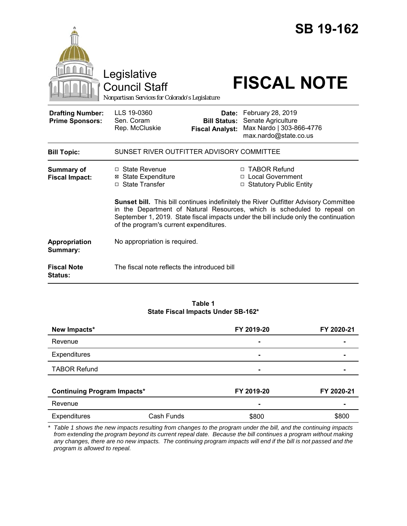|                                                   | Legislative<br><b>Council Staff</b><br>Nonpartisan Services for Colorado's Legislature                                                                                                                                                                                                                   |                                               | <b>SB 19-162</b><br><b>FISCAL NOTE</b>                                                             |  |
|---------------------------------------------------|----------------------------------------------------------------------------------------------------------------------------------------------------------------------------------------------------------------------------------------------------------------------------------------------------------|-----------------------------------------------|----------------------------------------------------------------------------------------------------|--|
| <b>Drafting Number:</b><br><b>Prime Sponsors:</b> | LLS 19-0360<br>Sen. Coram<br>Rep. McCluskie                                                                                                                                                                                                                                                              | <b>Bill Status:</b><br><b>Fiscal Analyst:</b> | Date: February 28, 2019<br>Senate Agriculture<br>Max Nardo   303-866-4776<br>max.nardo@state.co.us |  |
| <b>Bill Topic:</b>                                | SUNSET RIVER OUTFITTER ADVISORY COMMITTEE                                                                                                                                                                                                                                                                |                                               |                                                                                                    |  |
| <b>Summary of</b><br><b>Fiscal Impact:</b>        | □ State Revenue<br><b>⊠</b> State Expenditure<br>□ State Transfer                                                                                                                                                                                                                                        |                                               | □ TABOR Refund<br>□ Local Government<br>□ Statutory Public Entity                                  |  |
|                                                   | <b>Sunset bill.</b> This bill continues indefinitely the River Outfitter Advisory Committee<br>in the Department of Natural Resources, which is scheduled to repeal on<br>September 1, 2019. State fiscal impacts under the bill include only the continuation<br>of the program's current expenditures. |                                               |                                                                                                    |  |
| Appropriation<br>Summary:                         | No appropriation is required.                                                                                                                                                                                                                                                                            |                                               |                                                                                                    |  |
| <b>Fiscal Note</b><br>Status:                     | The fiscal note reflects the introduced bill                                                                                                                                                                                                                                                             |                                               |                                                                                                    |  |

#### **Table 1 State Fiscal Impacts Under SB-162\***

| New Impacts*                       |            | FY 2019-20 | FY 2020-21 |
|------------------------------------|------------|------------|------------|
| Revenue                            |            | -          |            |
| Expenditures                       |            | -          |            |
| <b>TABOR Refund</b>                |            | -          |            |
| <b>Continuing Program Impacts*</b> |            | FY 2019-20 | FY 2020-21 |
|                                    |            |            |            |
| Revenue                            |            | ۰          |            |
| <b>Expenditures</b>                | Cash Funds | \$800      | \$800      |

*\* Table 1 shows the new impacts resulting from changes to the program under the bill, and the continuing impacts from extending the program beyond its current repeal date. Because the bill continues a program without making any changes, there are no new impacts. The continuing program impacts will end if the bill is not passed and the program is allowed to repeal.*